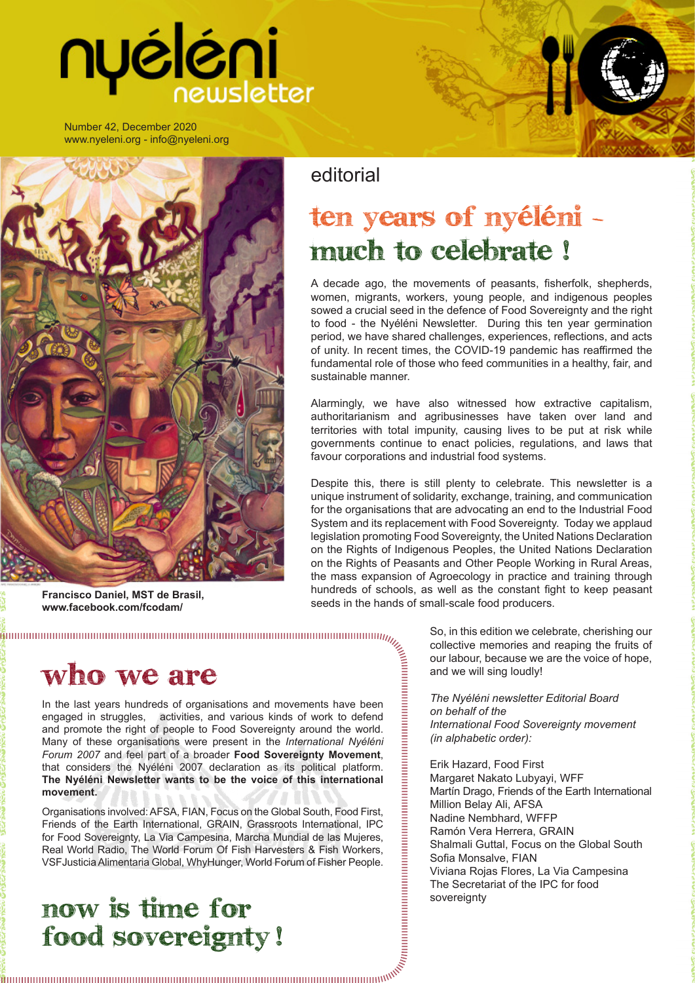# nyéléni

Number 42, December 2020 www.nyeleni.org - info@nyeleni.org



**Francisco Daniel, MST de Brasil, www.facebook.com/fcodam/**

editorial

## ten years of nyéléni much to celebrate !

A decade ago, the movements of peasants, fisherfolk, shepherds, women, migrants, workers, young people, and indigenous peoples sowed a crucial seed in the defence of Food Sovereignty and the right to food - the Nyéléni Newsletter. During this ten year germination period, we have shared challenges, experiences, reflections, and acts of unity. In recent times, the COVID-19 pandemic has reaffirmed the fundamental role of those who feed communities in a healthy, fair, and sustainable manner.

Alarmingly, we have also witnessed how extractive capitalism, authoritarianism and agribusinesses have taken over land and territories with total impunity, causing lives to be put at risk while governments continue to enact policies, regulations, and laws that favour corporations and industrial food systems.

Despite this, there is still plenty to celebrate. This newsletter is a unique instrument of solidarity, exchange, training, and communication for the organisations that are advocating an end to the Industrial Food System and its replacement with Food Sovereignty. Today we applaud legislation promoting Food Sovereignty, the United Nations Declaration on the Rights of Indigenous Peoples, the United Nations Declaration on the Rights of Peasants and Other People Working in Rural Areas, the mass expansion of Agroecology in practice and training through hundreds of schools, as well as the constant fight to keep peasant seeds in the hands of small-scale food producers.

## Who we are

In the last years hundreds of organisations and movements have been engaged in struggles, activities, and various kinds of work to defend and promote the right of people to Food Sovereignty around the world. Many of these organisations were present in the *International Nyéléni Forum 2007* and feel part of a broader **Food Sovereignty Movement**, that considers the Nyéléni 2007 declaration as its political platform. **The Nyéléni Newsletter wants to be the voice of this international movement.**

Organisations involved: AFSA, FIAN, Focus on the Global South, Food First, Friends of the Earth International, GRAIN, Grassroots International, IPC for Food Sovereignty, La Via Campesina, Marcha Mundial de las Mujeres, Real World Radio, The World Forum Of Fish Harvesters & Fish Workers, VSFJusticia Alimentaria Global, WhyHunger, World Forum of Fisher People.

### now is time for food sovereignty !

So, in this edition we celebrate, cherishing our collective memories and reaping the fruits of our labour, because we are the voice of hope, and we will sing loudly!

*The Nyéléni newsletter Editorial Board on behalf of the International Food Sovereignty movement (in alphabetic order):*

Erik Hazard, Food First Margaret Nakato Lubyayi, WFF Martín Drago, Friends of the Earth International Million Belay Ali, AFSA Nadine Nembhard, WFFP Ramón Vera Herrera, GRAIN Shalmali Guttal, Focus on the Global South Sofia Monsalve, FIAN Viviana Rojas Flores, La Via Campesina The Secretariat of the IPC for food sovereignty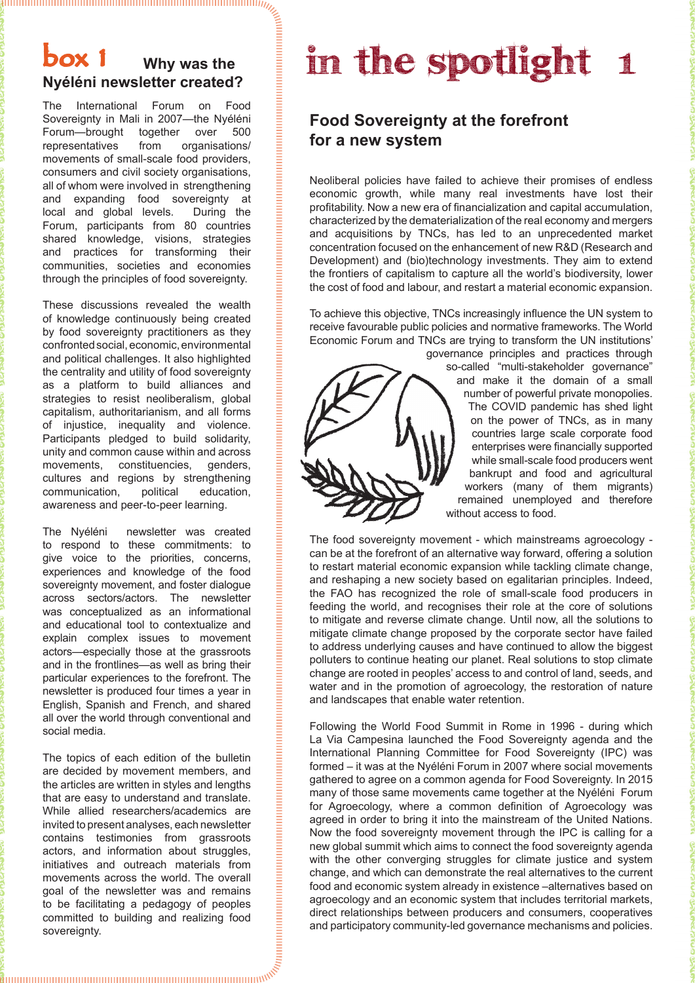The International Forum on Food Sovereignty in Mali in 2007—the Nyéléni Forum—brought together over 500 representatives from organisations/ movements of small-scale food providers, consumers and civil society organisations, all of whom were involved in strengthening and expanding food sovereignty at local and global levels. During the Forum, participants from 80 countries shared knowledge, visions, strategies and practices for transforming their communities, societies and economies through the principles of food sovereignty.

These discussions revealed the wealth of knowledge continuously being created by food sovereignty practitioners as they confronted social, economic, environmental and political challenges. It also highlighted the centrality and utility of food sovereignty as a platform to build alliances and strategies to resist neoliberalism, global capitalism, authoritarianism, and all forms of injustice, inequality and violence. Participants pledged to build solidarity, unity and common cause within and across movements, constituencies, genders, cultures and regions by strengthening communication, political education, awareness and peer-to-peer learning.

The Nyéléni newsletter was created to respond to these commitments: to give voice to the priorities, concerns, experiences and knowledge of the food sovereignty movement, and foster dialogue across sectors/actors. The newsletter was conceptualized as an informational and educational tool to contextualize and explain complex issues to movement actors—especially those at the grassroots and in the frontlines—as well as bring their particular experiences to the forefront. The newsletter is produced four times a year in English, Spanish and French, and shared all over the world through conventional and social media.

The topics of each edition of the bulletin are decided by movement members, and the articles are written in styles and lengths that are easy to understand and translate. While allied researchers/academics are invited to present analyses, each newsletter contains testimonies from grassroots actors, and information about struggles, initiatives and outreach materials from movements across the world. The overall goal of the newsletter was and remains to be facilitating a pedagogy of peoples committed to building and realizing food sovereignty.

## **box 1** Why was the **in the spotlight** 1

#### **Food Sovereignty at the forefront for a new system**

Neoliberal policies have failed to achieve their promises of endless economic growth, while many real investments have lost their profitability. Now a new era of financialization and capital accumulation, characterized by the dematerialization of the real economy and mergers and acquisitions by TNCs, has led to an unprecedented market concentration focused on the enhancement of new R&D (Research and Development) and (bio)technology investments. They aim to extend the frontiers of capitalism to capture all the world's biodiversity, lower the cost of food and labour, and restart a material economic expansion.

To achieve this objective, TNCs increasingly influence the UN system to receive favourable public policies and normative frameworks. The World Economic Forum and TNCs are trying to transform the UN institutions'



governance principles and practices through so-called "multi-stakeholder governance" and make it the domain of a small number of powerful private monopolies. The COVID pandemic has shed light on the power of TNCs, as in many countries large scale corporate food enterprises were financially supported while small-scale food producers went bankrupt and food and agricultural workers (many of them migrants) remained unemployed and therefore without access to food.

The food sovereignty movement - which mainstreams agroecology can be at the forefront of an alternative way forward, offering a solution to restart material economic expansion while tackling climate change, and reshaping a new society based on egalitarian principles. Indeed, the FAO has recognized the role of small-scale food producers in feeding the world, and recognises their role at the core of solutions to mitigate and reverse climate change. Until now, all the solutions to mitigate climate change proposed by the corporate sector have failed to address underlying causes and have continued to allow the biggest polluters to continue heating our planet. Real solutions to stop climate change are rooted in peoples' access to and control of land, seeds, and water and in the promotion of agroecology, the restoration of nature and landscapes that enable water retention.

Following the World Food Summit in Rome in 1996 - during which La Via Campesina launched the Food Sovereignty agenda and the International Planning Committee for Food Sovereignty (IPC) was formed – it was at the Nyéléni Forum in 2007 where social movements gathered to agree on a common agenda for Food Sovereignty. In 2015 many of those same movements came together at the Nyéléni Forum for Agroecology, where a common definition of Agroecology was agreed in order to bring it into the mainstream of the United Nations. Now the food sovereignty movement through the IPC is calling for a new global summit which aims to connect the food sovereignty agenda with the other converging struggles for climate justice and system change, and which can demonstrate the real alternatives to the current food and economic system already in existence –alternatives based on agroecology and an economic system that includes territorial markets, direct relationships between producers and consumers, cooperatives and participatory community-led governance mechanisms and policies.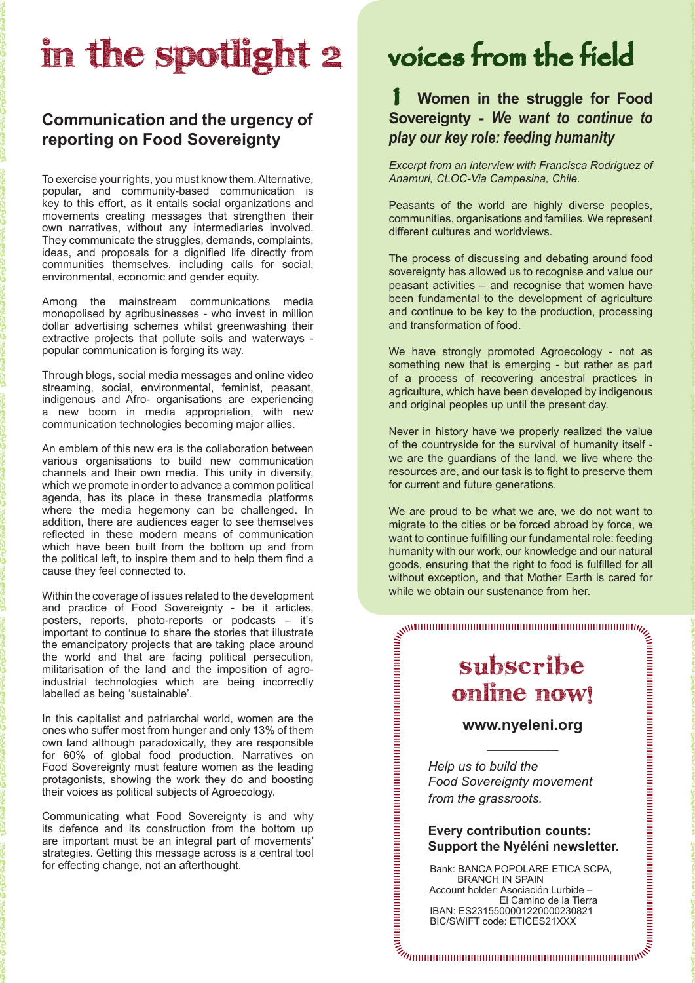## in the spotlight 2

#### **Communication and the urgency of reporting on Food Sovereignty**

To exercise your rights, you must know them. Alternative, popular, and community-based communication is key to this effort, as it entails social organizations and movements creating messages that strengthen their own narratives, without any intermediaries involved. They communicate the struggles, demands, complaints, ideas, and proposals for a dignified life directly from communities themselves, including calls for social, environmental, economic and gender equity.

Among the mainstream communications media monopolised by agribusinesses - who invest in million dollar advertising schemes whilst greenwashing their extractive projects that pollute soils and waterways popular communication is forging its way.

Through blogs, social media messages and online video streaming, social, environmental, feminist, peasant, indigenous and Afro- organisations are experiencing a new boom in media appropriation, with new communication technologies becoming major allies.

An emblem of this new era is the collaboration between various organisations to build new communication channels and their own media. This unity in diversity, which we promote in order to advance a common political agenda, has its place in these transmedia platforms where the media hegemony can be challenged. In addition, there are audiences eager to see themselves reflected in these modern means of communication which have been built from the bottom up and from the political left, to inspire them and to help them find a cause they feel connected to.

Within the coverage of issues related to the development and practice of Food Sovereignty - be it articles, posters, reports, photo-reports or podcasts – it's important to continue to share the stories that illustrate the emancipatory projects that are taking place around the world and that are facing political persecution, militarisation of the land and the imposition of agroindustrial technologies which are being incorrectly labelled as being 'sustainable'.

In this capitalist and patriarchal world, women are the ones who suffer most from hunger and only 13% of them own land although paradoxically, they are responsible for 60% of global food production. Narratives on Food Sovereignty must feature women as the leading protagonists, showing the work they do and boosting their voices as political subjects of Agroecology.

Communicating what Food Sovereignty is and why its defence and its construction from the bottom up are important must be an integral part of movements' strategies. Getting this message across is a central tool for effecting change, not an afterthought.

## voices from the field

#### 1 **Women in the struggle for Food Sovereignty -** *We want to continue to play our key role: feeding humanity*

*Excerpt from an interview with Francisca Rodriguez of Anamuri, CLOC-Via Campesina, Chile.*

Peasants of the world are highly diverse peoples, communities, organisations and families. We represent different cultures and worldviews.

The process of discussing and debating around food sovereignty has allowed us to recognise and value our peasant activities – and recognise that women have been fundamental to the development of agriculture and continue to be key to the production, processing and transformation of food.

We have strongly promoted Agroecology - not as something new that is emerging - but rather as part of a process of recovering ancestral practices in agriculture, which have been developed by indigenous and original peoples up until the present day.

Never in history have we properly realized the value of the countryside for the survival of humanity itself we are the guardians of the land, we live where the resources are, and our task is to fight to preserve them for current and future generations.

We are proud to be what we are, we do not want to migrate to the cities or be forced abroad by force, we want to continue fulfilling our fundamental role: feeding humanity with our work, our knowledge and our natural goods, ensuring that the right to food is fulfilled for all without exception, and that Mother Earth is cared for while we obtain our sustenance from her.

### subscribe online now!

#### **www.nyeleni.org \_\_\_\_\_\_\_\_\_\_**

 *Help us to build the Food Sovereignty movement from the grassroots.*

#### **Every contribution counts: Support the Nyéléni newsletter.**

Bank: BANCA POPOLARE ETICA SCPA, BRANCH IN SPAIN Account holder: Asociación Lurbide – El Camino de la Tierra

 IBAN: ES2315500001220000230821 BIC/SWIFT code: ETICES21XXX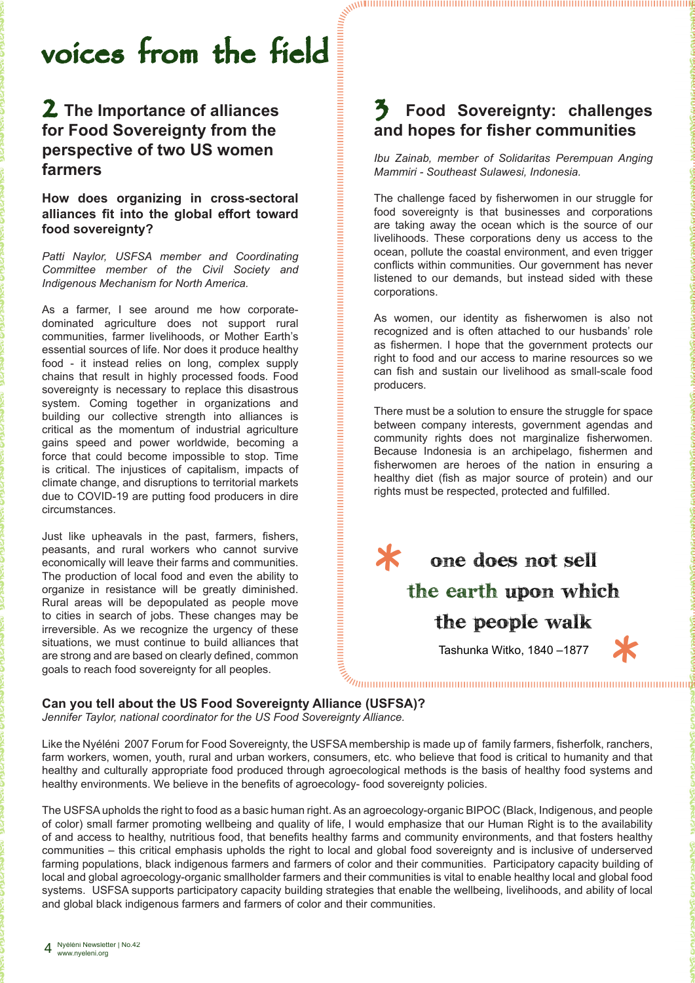## voices from the field

#### 2 **The Importance of alliances for Food Sovereignty from the perspective of two US women farmers**

**How does organizing in cross-sectoral alliances fit into the global effort toward food sovereignty?** 

*Patti Naylor, USFSA member and Coordinating Committee member of the Civil Society and Indigenous Mechanism for North America.*

As a farmer, I see around me how corporatedominated agriculture does not support rural communities, farmer livelihoods, or Mother Earth's essential sources of life. Nor does it produce healthy food - it instead relies on long, complex supply chains that result in highly processed foods. Food sovereignty is necessary to replace this disastrous system. Coming together in organizations and building our collective strength into alliances is critical as the momentum of industrial agriculture gains speed and power worldwide, becoming a force that could become impossible to stop. Time is critical. The injustices of capitalism, impacts of climate change, and disruptions to territorial markets due to COVID-19 are putting food producers in dire circumstances.

Just like upheavals in the past, farmers, fishers, peasants, and rural workers who cannot survive economically will leave their farms and communities. The production of local food and even the ability to organize in resistance will be greatly diminished. Rural areas will be depopulated as people move to cities in search of jobs. These changes may be irreversible. As we recognize the urgency of these situations, we must continue to build alliances that are strong and are based on clearly defined, common goals to reach food sovereignty for all peoples.

#### 3 **Food Sovereignty: challenges and hopes for fisher communities**

*Ibu Zainab, member of Solidaritas Perempuan Anging Mammiri - Southeast Sulawesi, Indonesia.*

The challenge faced by fisherwomen in our struggle for food sovereignty is that businesses and corporations are taking away the ocean which is the source of our livelihoods. These corporations deny us access to the ocean, pollute the coastal environment, and even trigger conflicts within communities. Our government has never listened to our demands, but instead sided with these corporations.

As women, our identity as fisherwomen is also not recognized and is often attached to our husbands' role as fishermen. I hope that the government protects our right to food and our access to marine resources so we can fish and sustain our livelihood as small-scale food producers.

There must be a solution to ensure the struggle for space between company interests, government agendas and community rights does not marginalize fisherwomen. Because Indonesia is an archipelago, fishermen and fisherwomen are heroes of the nation in ensuring a healthy diet (fish as major source of protein) and our rights must be respected, protected and fulfilled.



Tashunka Witko, 1840 –1877

*\**

**Can you tell about the US Food Sovereignty Alliance (USFSA)?**

*Jennifer Taylor, national coordinator for the US Food Sovereignty Alliance.*

Like the Nyéléni 2007 Forum for Food Sovereignty, the USFSA membership is made up of family farmers, fisherfolk, ranchers, farm workers, women, youth, rural and urban workers, consumers, etc. who believe that food is critical to humanity and that healthy and culturally appropriate food produced through agroecological methods is the basis of healthy food systems and healthy environments. We believe in the benefits of agroecology- food sovereignty policies.

*\**

The USFSA upholds the right to food as a basic human right. As an agroecology-organic BIPOC (Black, Indigenous, and people of color) small farmer promoting wellbeing and quality of life, I would emphasize that our Human Right is to the availability of and access to healthy, nutritious food, that benefits healthy farms and community environments, and that fosters healthy communities – this critical emphasis upholds the right to local and global food sovereignty and is inclusive of underserved farming populations, black indigenous farmers and farmers of color and their communities. Participatory capacity building of local and global agroecology-organic smallholder farmers and their communities is vital to enable healthy local and global food systems. USFSA supports participatory capacity building strategies that enable the wellbeing, livelihoods, and ability of local and global black indigenous farmers and farmers of color and their communities.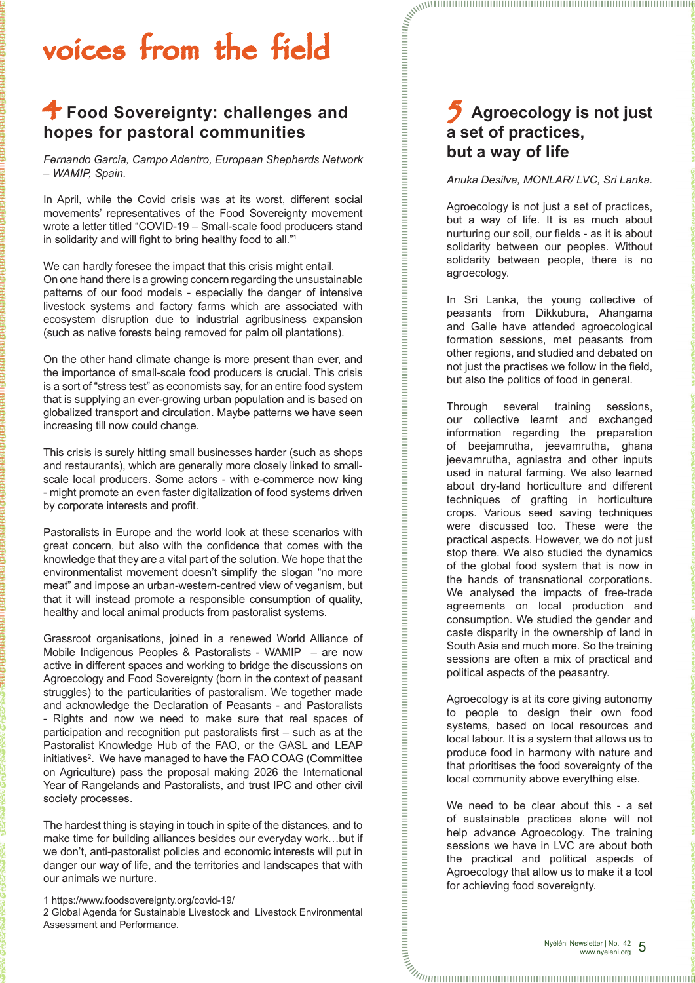## voices from the field

#### 4 **Food Sovereignty: challenges and hopes for pastoral communities**

*Fernando Garcia, Campo Adentro, European Shepherds Network – WAMIP, Spain.*

In April, while the Covid crisis was at its worst, different social movements' representatives of the Food Sovereignty movement wrote a letter titled "COVID-19 – Small-scale food producers stand in solidarity and will fight to bring healthy food to all."<sup>1</sup>

We can hardly foresee the impact that this crisis might entail. On one hand there is a growing concern regarding the unsustainable patterns of our food models - especially the danger of intensive livestock systems and factory farms which are associated with ecosystem disruption due to industrial agribusiness expansion (such as native forests being removed for palm oil plantations).

On the other hand climate change is more present than ever, and the importance of small-scale food producers is crucial. This crisis is a sort of "stress test" as economists say, for an entire food system that is supplying an ever-growing urban population and is based on globalized transport and circulation. Maybe patterns we have seen increasing till now could change.

This crisis is surely hitting small businesses harder (such as shops and restaurants), which are generally more closely linked to smallscale local producers. Some actors - with e-commerce now king - might promote an even faster digitalization of food systems driven by corporate interests and profit.

Pastoralists in Europe and the world look at these scenarios with great concern, but also with the confidence that comes with the knowledge that they are a vital part of the solution. We hope that the environmentalist movement doesn't simplify the slogan "no more meat" and impose an urban-western-centred view of veganism, but that it will instead promote a responsible consumption of quality, healthy and local animal products from pastoralist systems.

Grassroot organisations, joined in a renewed World Alliance of Mobile Indigenous Peoples & Pastoralists - WAMIP – are now active in different spaces and working to bridge the discussions on Agroecology and Food Sovereignty (born in the context of peasant struggles) to the particularities of pastoralism. We together made and acknowledge the Declaration of Peasants - and Pastoralists - Rights and now we need to make sure that real spaces of participation and recognition put pastoralists first – such as at the Pastoralist Knowledge Hub of the FAO, or the GASL and LEAP initiatives<sup>2</sup>. We have managed to have the FAO COAG (Committee on Agriculture) pass the proposal making 2026 the International Year of Rangelands and Pastoralists, and trust IPC and other civil society processes.

The hardest thing is staying in touch in spite of the distances, and to make time for building alliances besides our everyday work…but if we don't, anti-pastoralist policies and economic interests will put in danger our way of life, and the territories and landscapes that with our animals we nurture.

1 https://www.foodsovereignty.org/covid-19/

2 Global Agenda for Sustainable Livestock and Livestock Environmental Assessment and Performance.

#### 5 **Agroecology is not just a set of practices, but a way of life**

#### *Anuka Desilva, MONLAR/ LVC, Sri Lanka.*

Agroecology is not just a set of practices, but a way of life. It is as much about nurturing our soil, our fields - as it is about solidarity between our peoples. Without solidarity between people, there is no agroecology.

In Sri Lanka, the young collective of peasants from Dikkubura, Ahangama and Galle have attended agroecological formation sessions, met peasants from other regions, and studied and debated on not just the practises we follow in the field, but also the politics of food in general.

Through several training sessions, our collective learnt and exchanged information regarding the preparation of beejamrutha, jeevamrutha, ghana jeevamrutha, agniastra and other inputs used in natural farming. We also learned about dry-land horticulture and different techniques of grafting in horticulture crops. Various seed saving techniques were discussed too. These were the practical aspects. However, we do not just stop there. We also studied the dynamics of the global food system that is now in the hands of transnational corporations. We analysed the impacts of free-trade agreements on local production and consumption. We studied the gender and caste disparity in the ownership of land in South Asia and much more. So the training sessions are often a mix of practical and political aspects of the peasantry.

Agroecology is at its core giving autonomy to people to design their own food systems, based on local resources and local labour. It is a system that allows us to produce food in harmony with nature and that prioritises the food sovereignty of the local community above everything else.

We need to be clear about this - a set of sustainable practices alone will not help advance Agroecology. The training sessions we have in LVC are about both the practical and political aspects of Agroecology that allow us to make it a tool for achieving food sovereignty.